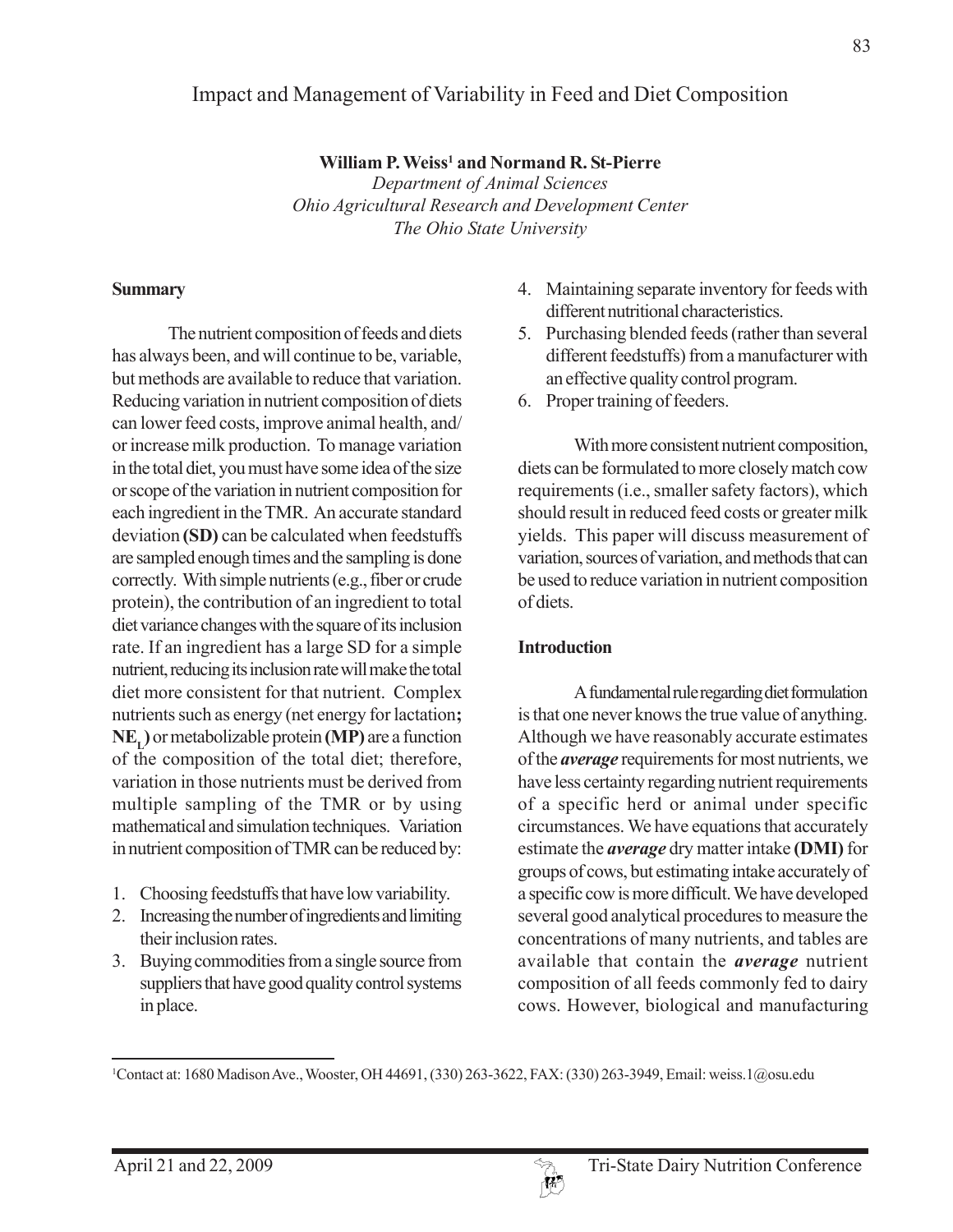# Impact and Management of Variability in Feed and Diet Composition

**William P. Weiss1 and Normand R. St-Pierre** *Department of Animal Sciences Ohio Agricultural Research and Development Center The Ohio State University*

#### **Summary**

The nutrient composition of feeds and diets has always been, and will continue to be, variable, but methods are available to reduce that variation. Reducing variation in nutrient composition of diets can lower feed costs, improve animal health, and/ or increase milk production. To manage variation in the total diet, you must have some idea of the size or scope of the variation in nutrient composition for each ingredient in the TMR. An accurate standard deviation **(SD)** can be calculated when feedstuffs are sampled enough times and the sampling is done correctly. With simple nutrients (e.g., fiber or crude protein), the contribution of an ingredient to total diet variance changes with the square of its inclusion rate. If an ingredient has a large SD for a simple nutrient, reducing its inclusion rate will make the total diet more consistent for that nutrient. Complex nutrients such as energy (net energy for lactation**; NEL)** or metabolizable protein **(MP)** are a function of the composition of the total diet; therefore, variation in those nutrients must be derived from multiple sampling of the TMR or by using mathematical and simulation techniques. Variation in nutrient composition of TMR can be reduced by:

- 1. Choosing feedstuffs that have low variability.
- 2. Increasing the number of ingredients and limiting their inclusion rates.
- 3. Buying commodities from a single source from suppliers that have good quality control systems in place.
- 4. Maintaining separate inventory for feeds with different nutritional characteristics.
- 5. Purchasing blended feeds (rather than several different feedstuffs) from a manufacturer with an effective quality control program.
- 6. Proper training of feeders.

With more consistent nutrient composition, diets can be formulated to more closely match cow requirements (i.e., smaller safety factors), which should result in reduced feed costs or greater milk yields. This paper will discuss measurement of variation, sources of variation, and methods that can be used to reduce variation in nutrient composition of diets.

#### **Introduction**

A fundamental rule regarding diet formulation is that one never knows the true value of anything. Although we have reasonably accurate estimates of the *average* requirements for most nutrients, we have less certainty regarding nutrient requirements of a specific herd or animal under specific circumstances. We have equations that accurately estimate the *average* dry matter intake **(DMI)** for groups of cows, but estimating intake accurately of a specific cow is more difficult. We have developed several good analytical procedures to measure the concentrations of many nutrients, and tables are available that contain the *average* nutrient composition of all feeds commonly fed to dairy cows. However, biological and manufacturing



<sup>1</sup> Contact at: 1680 Madison Ave., Wooster, OH 44691, (330) 263-3622, FAX: (330) 263-3949, Email: weiss.1@osu.edu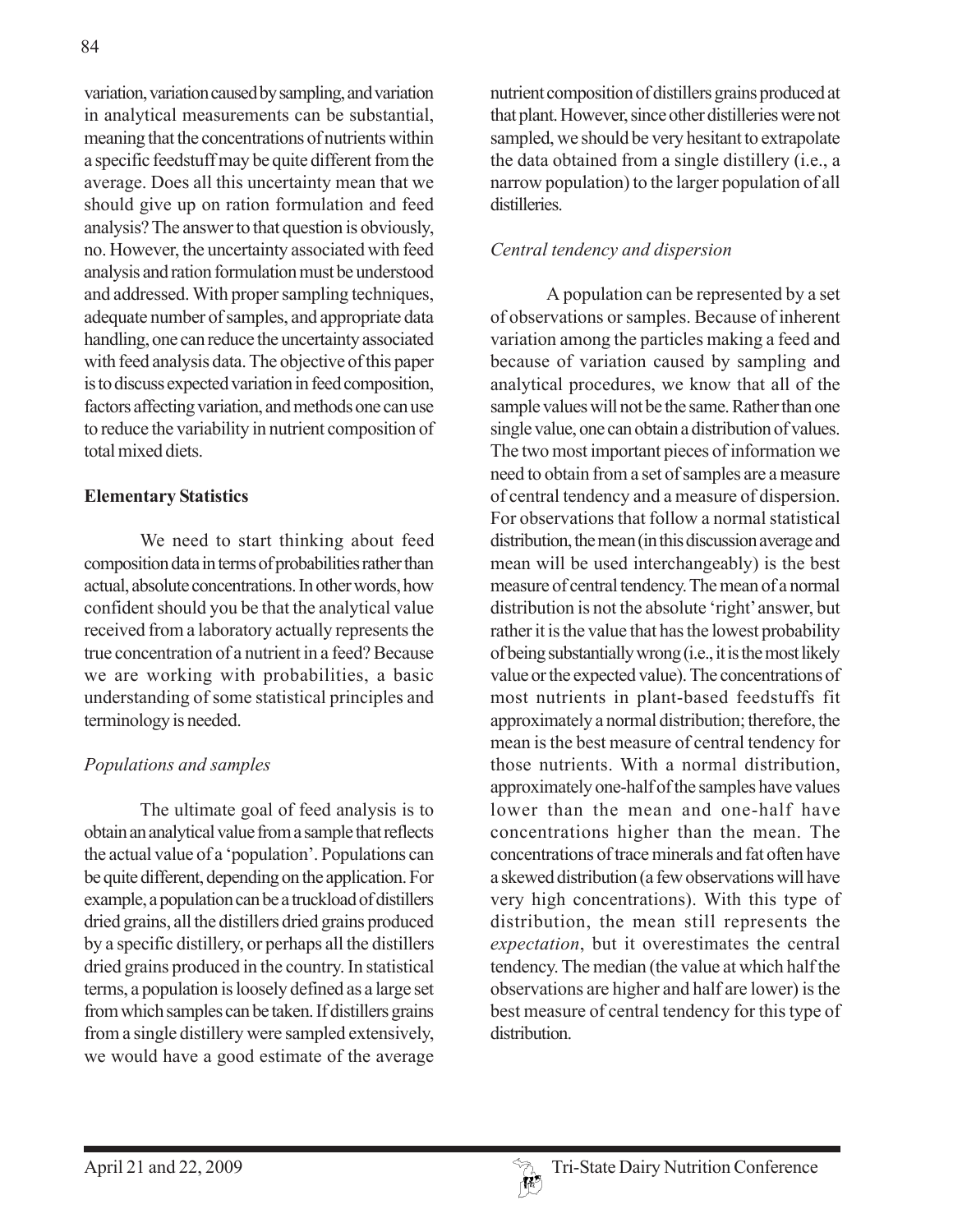variation, variation caused by sampling, and variation in analytical measurements can be substantial, meaning that the concentrations of nutrients within a specific feedstuff may be quite different from the average. Does all this uncertainty mean that we should give up on ration formulation and feed analysis? The answer to that question is obviously, no. However, the uncertainty associated with feed analysis and ration formulation must be understood and addressed. With proper sampling techniques, adequate number of samples, and appropriate data handling, one can reduce the uncertainty associated with feed analysis data. The objective of this paper is to discuss expected variation in feed composition, factors affecting variation, and methods one can use to reduce the variability in nutrient composition of total mixed diets.

#### **Elementary Statistics**

We need to start thinking about feed composition data in terms of probabilities rather than actual, absolute concentrations. In other words, how confident should you be that the analytical value received from a laboratory actually represents the true concentration of a nutrient in a feed? Because we are working with probabilities, a basic understanding of some statistical principles and terminology is needed.

# *Populations and samples*

The ultimate goal of feed analysis is to obtain an analytical value from a sample that reflects the actual value of a 'population'. Populations can be quite different, depending on the application. For example, a population can be a truckload of distillers dried grains, all the distillers dried grains produced by a specific distillery, or perhaps all the distillers dried grains produced in the country. In statistical terms, a population is loosely defined as a large set from which samples can be taken. If distillers grains from a single distillery were sampled extensively, we would have a good estimate of the average

nutrient composition of distillers grains produced at that plant. However, since other distilleries were not sampled, we should be very hesitant to extrapolate the data obtained from a single distillery (i.e., a narrow population) to the larger population of all **distilleries** 

## *Central tendency and dispersion*

A population can be represented by a set of observations or samples. Because of inherent variation among the particles making a feed and because of variation caused by sampling and analytical procedures, we know that all of the sample values will not be the same. Rather than one single value, one can obtain a distribution of values. The two most important pieces of information we need to obtain from a set of samples are a measure of central tendency and a measure of dispersion. For observations that follow a normal statistical distribution, the mean (in this discussion average and mean will be used interchangeably) is the best measure of central tendency. The mean of a normal distribution is not the absolute 'right' answer, but rather it is the value that has the lowest probability of being substantially wrong (i.e., it is the most likely value or the expected value). The concentrations of most nutrients in plant-based feedstuffs fit approximately a normal distribution; therefore, the mean is the best measure of central tendency for those nutrients. With a normal distribution, approximately one-half of the samples have values lower than the mean and one-half have concentrations higher than the mean. The concentrations of trace minerals and fat often have a skewed distribution (a few observations will have very high concentrations). With this type of distribution, the mean still represents the *expectation*, but it overestimates the central tendency. The median (the value at which half the observations are higher and half are lower) is the best measure of central tendency for this type of distribution.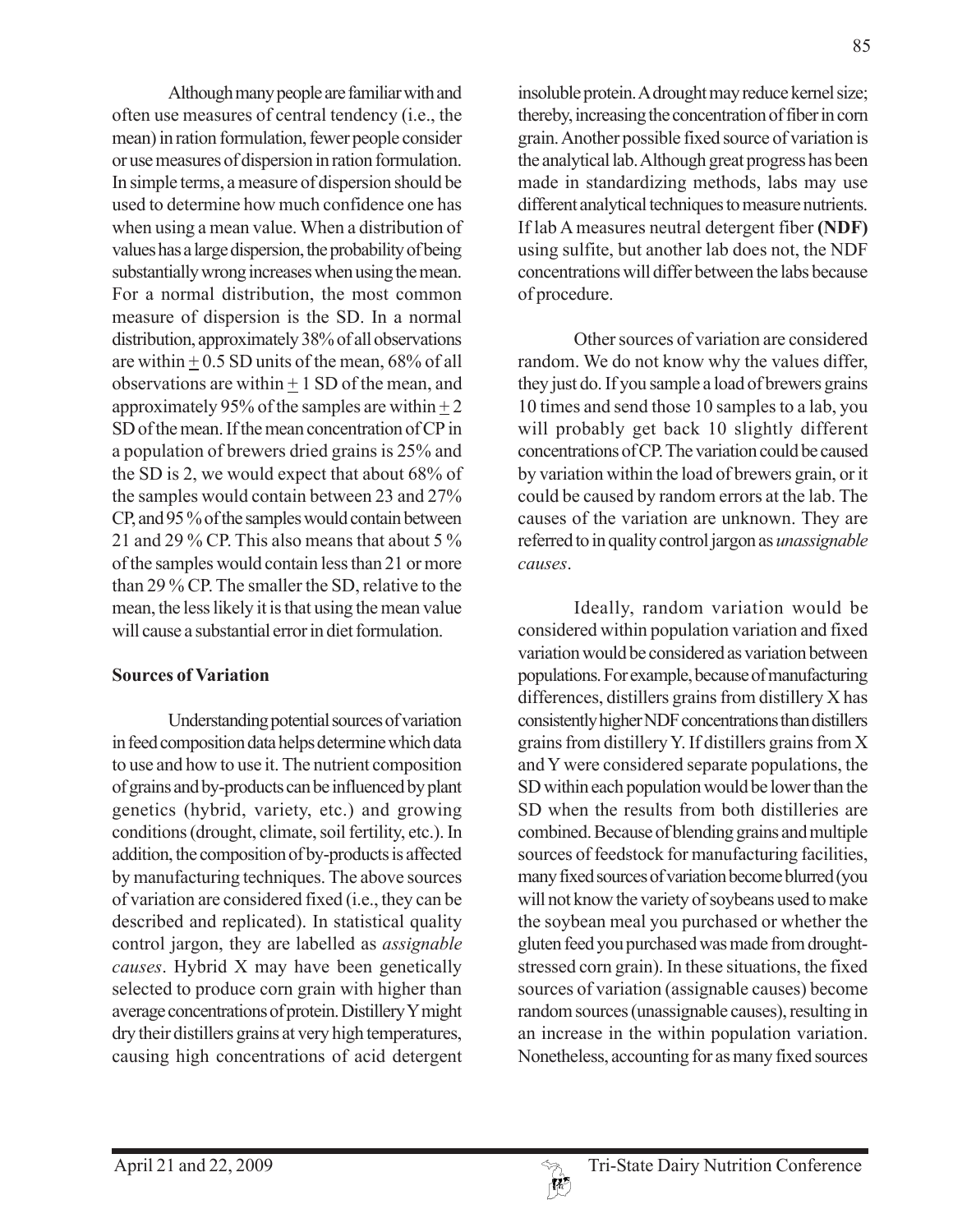Although many people are familiar with and often use measures of central tendency (i.e., the mean) in ration formulation, fewer people consider or use measures of dispersion in ration formulation. In simple terms, a measure of dispersion should be used to determine how much confidence one has when using a mean value. When a distribution of values has a large dispersion, the probability of being substantially wrong increases when using the mean. For a normal distribution, the most common measure of dispersion is the SD. In a normal distribution, approximately 38% of all observations are within  $+ 0.5$  SD units of the mean, 68% of all observations are within  $\pm$  1 SD of the mean, and approximately 95% of the samples are within  $\pm 2$ SD of the mean. If the mean concentration of CP in a population of brewers dried grains is 25% and the SD is 2, we would expect that about 68% of the samples would contain between 23 and 27% CP, and 95 % of the samples would contain between 21 and 29 % CP. This also means that about 5 % of the samples would contain less than 21 or more than 29 % CP. The smaller the SD, relative to the mean, the less likely it is that using the mean value will cause a substantial error in diet formulation.

### **Sources of Variation**

Understanding potential sources of variation in feed composition data helps determine which data to use and how to use it. The nutrient composition of grains and by-products can be influenced by plant genetics (hybrid, variety, etc.) and growing conditions (drought, climate, soil fertility, etc.). In addition, the composition of by-products is affected by manufacturing techniques. The above sources of variation are considered fixed (i.e., they can be described and replicated). In statistical quality control jargon, they are labelled as *assignable causes*. Hybrid X may have been genetically selected to produce corn grain with higher than average concentrations of protein. Distillery Y might dry their distillers grains at very high temperatures, causing high concentrations of acid detergent insoluble protein. A drought may reduce kernel size; thereby, increasing the concentration of fiber in corn grain. Another possible fixed source of variation is the analytical lab. Although great progress has been made in standardizing methods, labs may use different analytical techniques to measure nutrients. If lab A measures neutral detergent fiber **(NDF)** using sulfite, but another lab does not, the NDF concentrations will differ between the labs because of procedure.

Other sources of variation are considered random. We do not know why the values differ, they just do. If you sample a load of brewers grains 10 times and send those 10 samples to a lab, you will probably get back 10 slightly different concentrations of CP. The variation could be caused by variation within the load of brewers grain, or it could be caused by random errors at the lab. The causes of the variation are unknown. They are referred to in quality control jargon as *unassignable causes*.

Ideally, random variation would be considered within population variation and fixed variation would be considered as variation between populations. For example, because of manufacturing differences, distillers grains from distillery X has consistently higher NDF concentrations than distillers grains from distillery Y. If distillers grains from X and Y were considered separate populations, the SD within each population would be lower than the SD when the results from both distilleries are combined. Because of blending grains and multiple sources of feedstock for manufacturing facilities, many fixed sources of variation become blurred (you will not know the variety of soybeans used to make the soybean meal you purchased or whether the gluten feed you purchased was made from droughtstressed corn grain). In these situations, the fixed sources of variation (assignable causes) become random sources (unassignable causes), resulting in an increase in the within population variation. Nonetheless, accounting for as many fixed sources

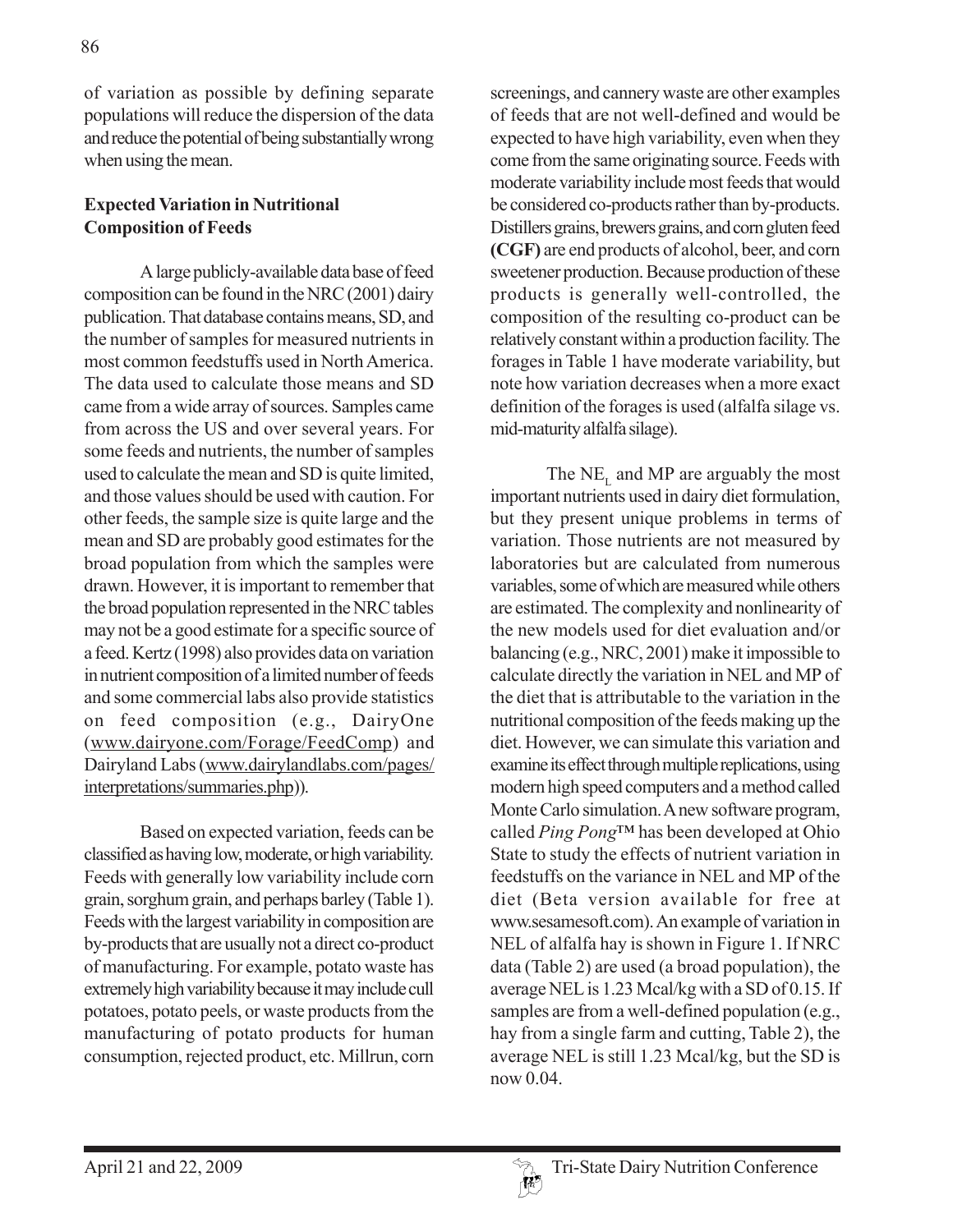of variation as possible by defining separate populations will reduce the dispersion of the data and reduce the potential of being substantially wrong when using the mean.

### **Expected Variation in Nutritional Composition of Feeds**

A large publicly-available data base of feed composition can be found in the NRC (2001) dairy publication. That database contains means, SD, and the number of samples for measured nutrients in most common feedstuffs used in North America. The data used to calculate those means and SD came from a wide array of sources. Samples came from across the US and over several years. For some feeds and nutrients, the number of samples used to calculate the mean and SD is quite limited, and those values should be used with caution. For other feeds, the sample size is quite large and the mean and SD are probably good estimates for the broad population from which the samples were drawn. However, it is important to remember that the broad population represented in the NRC tables may not be a good estimate for a specific source of a feed. Kertz (1998) also provides data on variation in nutrient composition of a limited number of feeds and some commercial labs also provide statistics on feed composition (e.g., DairyOne (www.dairyone.com/Forage/FeedComp) and Dairyland Labs (www.dairylandlabs.com/pages/ interpretations/summaries.php)).

Based on expected variation, feeds can be classified as having low, moderate, or high variability. Feeds with generally low variability include corn grain, sorghum grain, and perhaps barley (Table 1). Feeds with the largest variability in composition are by-products that are usually not a direct co-product of manufacturing. For example, potato waste has extremely high variability because it may include cull potatoes, potato peels, or waste products from the manufacturing of potato products for human consumption, rejected product, etc. Millrun, corn screenings, and cannery waste are other examples of feeds that are not well-defined and would be expected to have high variability, even when they come from the same originating source. Feeds with moderate variability include most feeds that would be considered co-products rather than by-products. Distillers grains, brewers grains, and corn gluten feed **(CGF)** are end products of alcohol, beer, and corn sweetener production. Because production of these products is generally well-controlled, the composition of the resulting co-product can be relatively constant within a production facility. The forages in Table 1 have moderate variability, but note how variation decreases when a more exact definition of the forages is used (alfalfa silage vs. mid-maturity alfalfa silage).

The  $NE<sub>L</sub>$  and MP are arguably the most important nutrients used in dairy diet formulation, but they present unique problems in terms of variation. Those nutrients are not measured by laboratories but are calculated from numerous variables, some of which are measured while others are estimated. The complexity and nonlinearity of the new models used for diet evaluation and/or balancing (e.g., NRC, 2001) make it impossible to calculate directly the variation in NEL and MP of the diet that is attributable to the variation in the nutritional composition of the feeds making up the diet. However, we can simulate this variation and examine its effect through multiple replications, using modern high speed computers and a method called Monte Carlo simulation. A new software program, called *Ping Pong*™ has been developed at Ohio State to study the effects of nutrient variation in feedstuffs on the variance in NEL and MP of the diet (Beta version available for free at www.sesamesoft.com). An example of variation in NEL of alfalfa hay is shown in Figure 1. If NRC data (Table 2) are used (a broad population), the average NEL is 1.23 Mcal/kg with a SD of 0.15. If samples are from a well-defined population (e.g., hay from a single farm and cutting, Table 2), the average NEL is still 1.23 Mcal/kg, but the SD is now 0.04.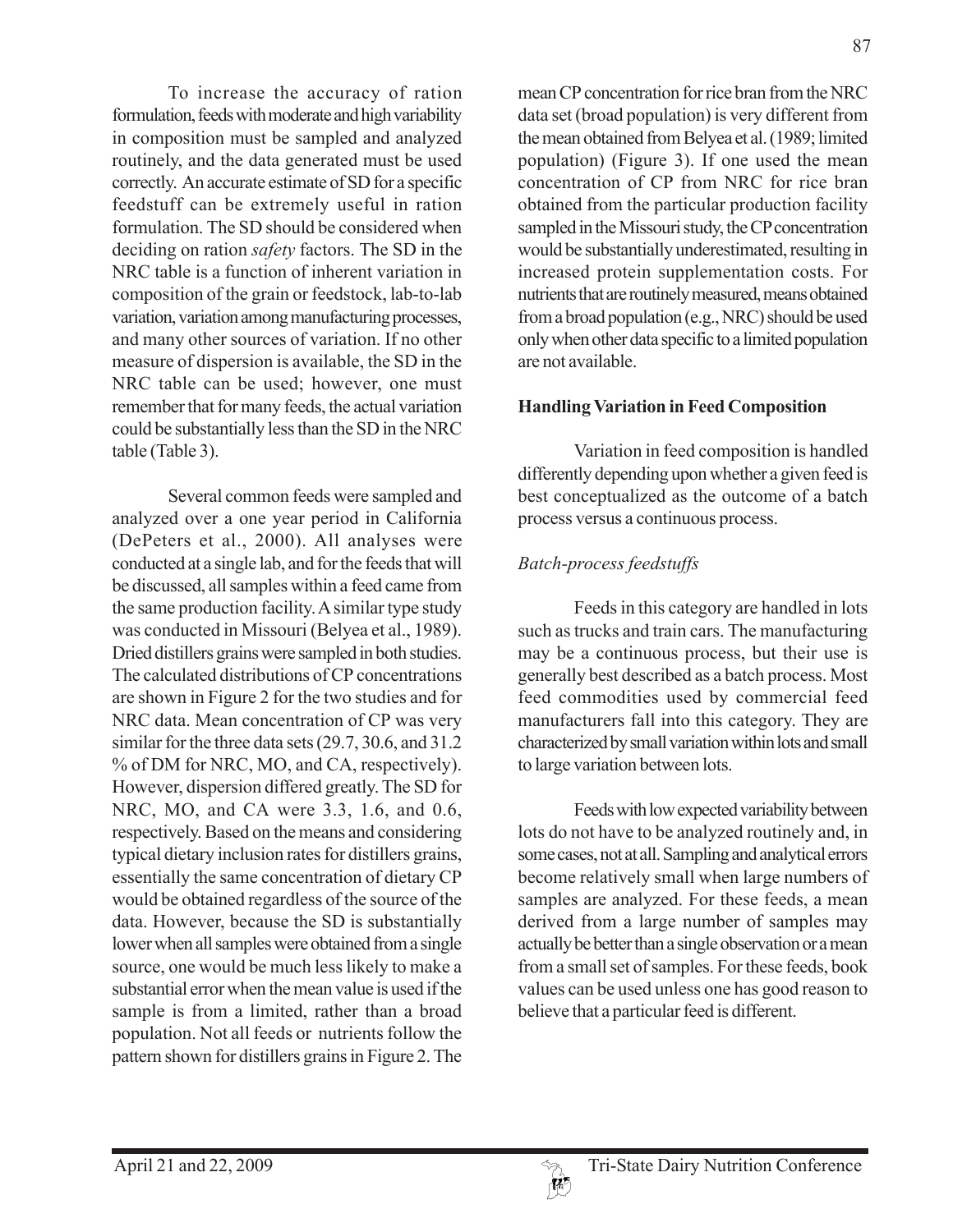To increase the accuracy of ration formulation, feeds with moderate and high variability in composition must be sampled and analyzed routinely, and the data generated must be used correctly. An accurate estimate of SD for a specific feedstuff can be extremely useful in ration formulation. The SD should be considered when deciding on ration *safety* factors. The SD in the NRC table is a function of inherent variation in composition of the grain or feedstock, lab-to-lab variation, variation among manufacturing processes, and many other sources of variation. If no other measure of dispersion is available, the SD in the NRC table can be used; however, one must remember that for many feeds, the actual variation could be substantially less than the SD in the NRC table (Table 3).

Several common feeds were sampled and analyzed over a one year period in California (DePeters et al., 2000). All analyses were conducted at a single lab, and for the feeds that will be discussed, all samples within a feed came from the same production facility. A similar type study was conducted in Missouri (Belyea et al., 1989). Dried distillers grains were sampled in both studies. The calculated distributions of CP concentrations are shown in Figure 2 for the two studies and for NRC data. Mean concentration of CP was very similar for the three data sets (29.7, 30.6, and 31.2 % of DM for NRC, MO, and CA, respectively). However, dispersion differed greatly. The SD for NRC, MO, and CA were 3.3, 1.6, and 0.6, respectively. Based on the means and considering typical dietary inclusion rates for distillers grains, essentially the same concentration of dietary CP would be obtained regardless of the source of the data. However, because the SD is substantially lower when all samples were obtained from a single source, one would be much less likely to make a substantial error when the mean value is used if the sample is from a limited, rather than a broad population. Not all feeds or nutrients follow the pattern shown for distillers grains in Figure 2. The

mean CP concentration for rice bran from the NRC data set (broad population) is very different from the mean obtained from Belyea et al. (1989; limited population) (Figure 3). If one used the mean concentration of CP from NRC for rice bran obtained from the particular production facility sampled in the Missouri study, the CP concentration would be substantially underestimated, resulting in increased protein supplementation costs. For nutrients that are routinely measured, means obtained from a broad population (e.g., NRC) should be used only when other data specific to a limited population are not available.

#### **Handling Variation in Feed Composition**

Variation in feed composition is handled differently depending upon whether a given feed is best conceptualized as the outcome of a batch process versus a continuous process.

## *Batch-process feedstuffs*

Feeds in this category are handled in lots such as trucks and train cars. The manufacturing may be a continuous process, but their use is generally best described as a batch process. Most feed commodities used by commercial feed manufacturers fall into this category. They are characterized by small variation within lots and small to large variation between lots.

Feeds with low expected variability between lots do not have to be analyzed routinely and, in some cases, not at all. Sampling and analytical errors become relatively small when large numbers of samples are analyzed. For these feeds, a mean derived from a large number of samples may actually be better than a single observation or a mean from a small set of samples. For these feeds, book values can be used unless one has good reason to believe that a particular feed is different.

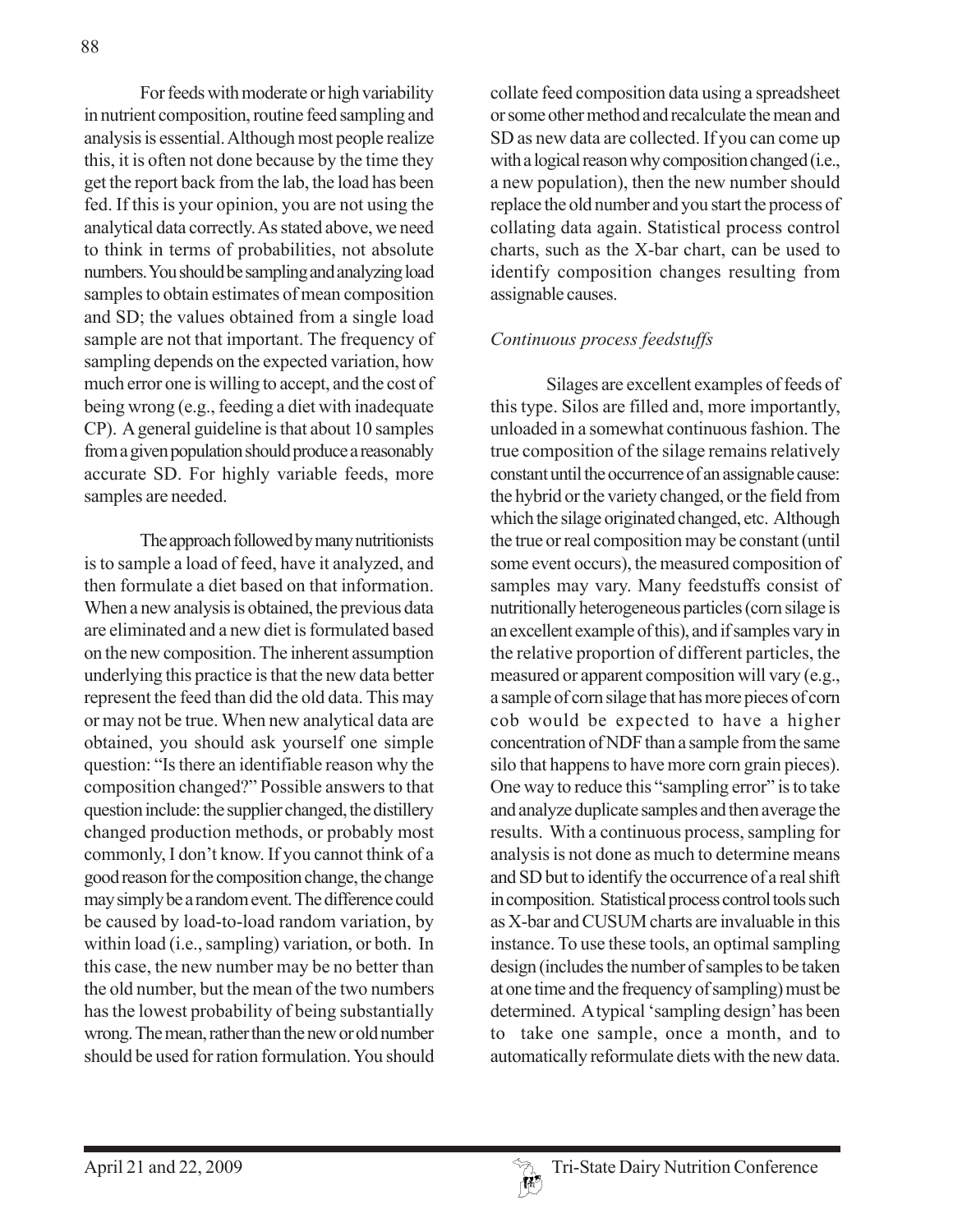For feeds with moderate or high variability in nutrient composition, routine feed sampling and analysis is essential. Although most people realize this, it is often not done because by the time they get the report back from the lab, the load has been fed. If this is your opinion, you are not using the analytical data correctly. As stated above, we need to think in terms of probabilities, not absolute numbers. You should be sampling and analyzing load samples to obtain estimates of mean composition and SD; the values obtained from a single load sample are not that important. The frequency of sampling depends on the expected variation, how much error one is willing to accept, and the cost of being wrong (e.g., feeding a diet with inadequate CP). A general guideline is that about 10 samples from a given population should produce a reasonably accurate SD. For highly variable feeds, more samples are needed.

The approach followed by many nutritionists is to sample a load of feed, have it analyzed, and then formulate a diet based on that information. When a new analysis is obtained, the previous data are eliminated and a new diet is formulated based on the new composition. The inherent assumption underlying this practice is that the new data better represent the feed than did the old data. This may or may not be true. When new analytical data are obtained, you should ask yourself one simple question: "Is there an identifiable reason why the composition changed?" Possible answers to that question include: the supplier changed, the distillery changed production methods, or probably most commonly, I don't know. If you cannot think of a good reason for the composition change, the change may simply be a random event. The difference could be caused by load-to-load random variation, by within load (i.e., sampling) variation, or both. In this case, the new number may be no better than the old number, but the mean of the two numbers has the lowest probability of being substantially wrong. The mean, rather than the new or old number should be used for ration formulation. You should

collate feed composition data using a spreadsheet or some other method and recalculate the mean and SD as new data are collected. If you can come up with a logical reason why composition changed (i.e., a new population), then the new number should replace the old number and you start the process of collating data again. Statistical process control charts, such as the X-bar chart, can be used to identify composition changes resulting from assignable causes.

### *Continuous process feedstuffs*

Silages are excellent examples of feeds of this type. Silos are filled and, more importantly, unloaded in a somewhat continuous fashion. The true composition of the silage remains relatively constant until the occurrence of an assignable cause: the hybrid or the variety changed, or the field from which the silage originated changed, etc. Although the true or real composition may be constant (until some event occurs), the measured composition of samples may vary. Many feedstuffs consist of nutritionally heterogeneous particles (corn silage is an excellent example of this), and if samples vary in the relative proportion of different particles, the measured or apparent composition will vary (e.g., a sample of corn silage that has more pieces of corn cob would be expected to have a higher concentration of NDF than a sample from the same silo that happens to have more corn grain pieces). One way to reduce this "sampling error" is to take and analyze duplicate samples and then average the results. With a continuous process, sampling for analysis is not done as much to determine means and SD but to identify the occurrence of a real shift in composition. Statistical process control tools such as X-bar and CUSUM charts are invaluable in this instance. To use these tools, an optimal sampling design (includes the number of samples to be taken at one time and the frequency of sampling) must be determined. A typical 'sampling design' has been to take one sample, once a month, and to automatically reformulate diets with the new data.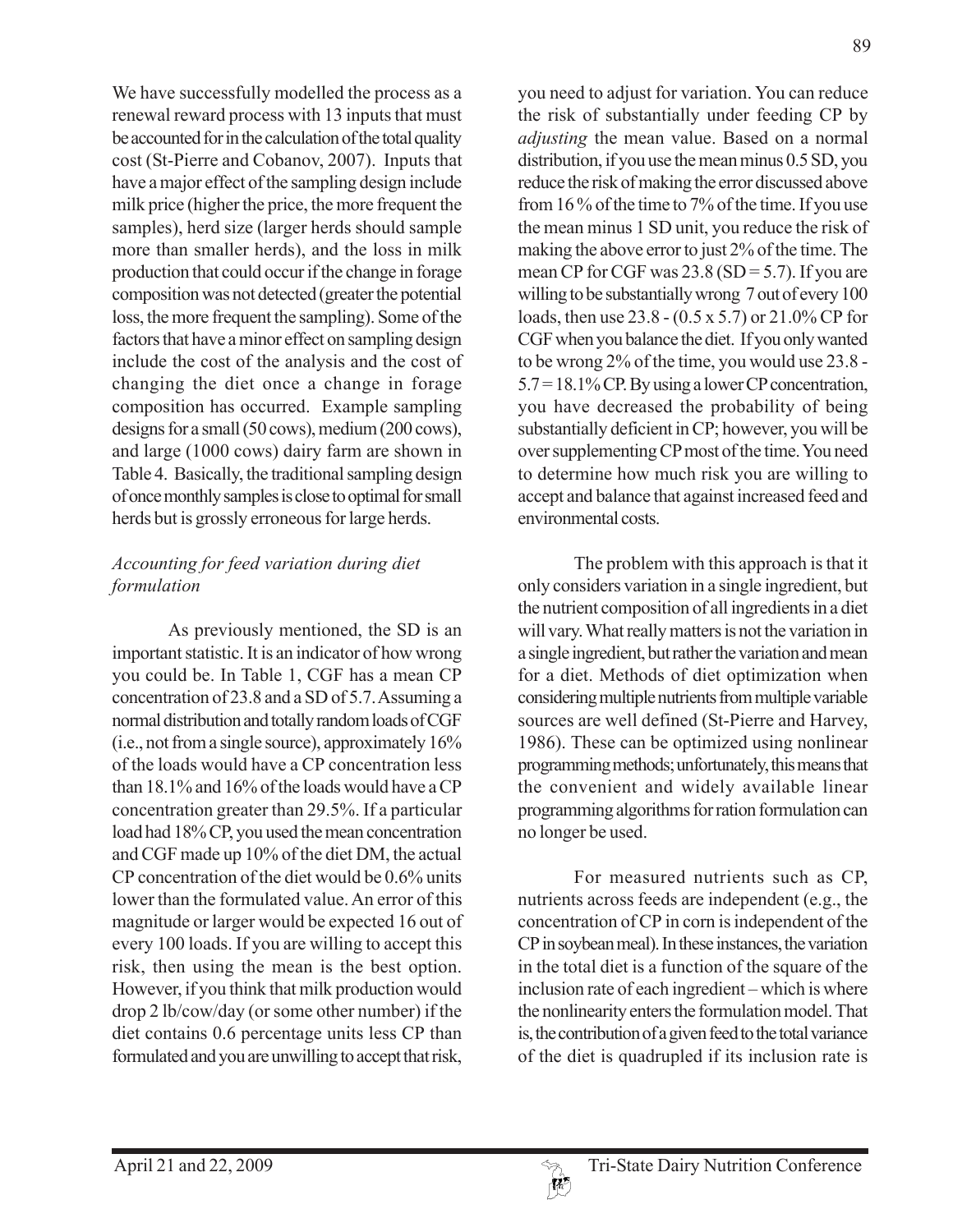We have successfully modelled the process as a renewal reward process with 13 inputs that must be accounted for in the calculation of the total quality cost (St-Pierre and Cobanov, 2007). Inputs that have a major effect of the sampling design include milk price (higher the price, the more frequent the samples), herd size (larger herds should sample more than smaller herds), and the loss in milk production that could occur if the change in forage composition was not detected (greater the potential loss, the more frequent the sampling). Some of the factors that have a minor effect on sampling design include the cost of the analysis and the cost of changing the diet once a change in forage composition has occurred. Example sampling designs for a small (50 cows), medium (200 cows), and large (1000 cows) dairy farm are shown in Table 4. Basically, the traditional sampling design of once monthly samples is close to optimal for small herds but is grossly erroneous for large herds.

# *Accounting for feed variation during diet formulation*

As previously mentioned, the SD is an important statistic. It is an indicator of how wrong you could be. In Table 1, CGF has a mean CP concentration of 23.8 and a SD of 5.7. Assuming a normal distribution and totally random loads of CGF (i.e., not from a single source), approximately 16% of the loads would have a CP concentration less than 18.1% and 16% of the loads would have a CP concentration greater than 29.5%. If a particular load had 18% CP, you used the mean concentration and CGF made up 10% of the diet DM, the actual CP concentration of the diet would be 0.6% units lower than the formulated value. An error of this magnitude or larger would be expected 16 out of every 100 loads. If you are willing to accept this risk, then using the mean is the best option. However, if you think that milk production would drop 2 lb/cow/day (or some other number) if the diet contains 0.6 percentage units less CP than formulated and you are unwilling to accept that risk,

you need to adjust for variation. You can reduce the risk of substantially under feeding CP by *adjusting* the mean value. Based on a normal distribution, if you use the mean minus 0.5 SD, you reduce the risk of making the error discussed above from 16 % of the time to 7% of the time. If you use the mean minus 1 SD unit, you reduce the risk of making the above error to just 2% of the time. The mean CP for CGF was  $23.8$  (SD = 5.7). If you are willing to be substantially wrong 7 out of every 100 loads, then use 23.8 - (0.5 x 5.7) or 21.0% CP for CGF when you balance the diet. If you only wanted to be wrong 2% of the time, you would use 23.8 - 5.7 = 18.1% CP. By using a lower CP concentration, you have decreased the probability of being substantially deficient in CP; however, you will be over supplementing CP most of the time. You need to determine how much risk you are willing to accept and balance that against increased feed and environmental costs.

The problem with this approach is that it only considers variation in a single ingredient, but the nutrient composition of all ingredients in a diet will vary. What really matters is not the variation in a single ingredient, but rather the variation and mean for a diet. Methods of diet optimization when considering multiple nutrients from multiple variable sources are well defined (St-Pierre and Harvey, 1986). These can be optimized using nonlinear programming methods; unfortunately, this means that the convenient and widely available linear programming algorithms for ration formulation can no longer be used.

For measured nutrients such as CP, nutrients across feeds are independent (e.g., the concentration of CP in corn is independent of the CP in soybean meal). In these instances, the variation in the total diet is a function of the square of the inclusion rate of each ingredient – which is where the nonlinearity enters the formulation model. That is, the contribution of a given feed to the total variance of the diet is quadrupled if its inclusion rate is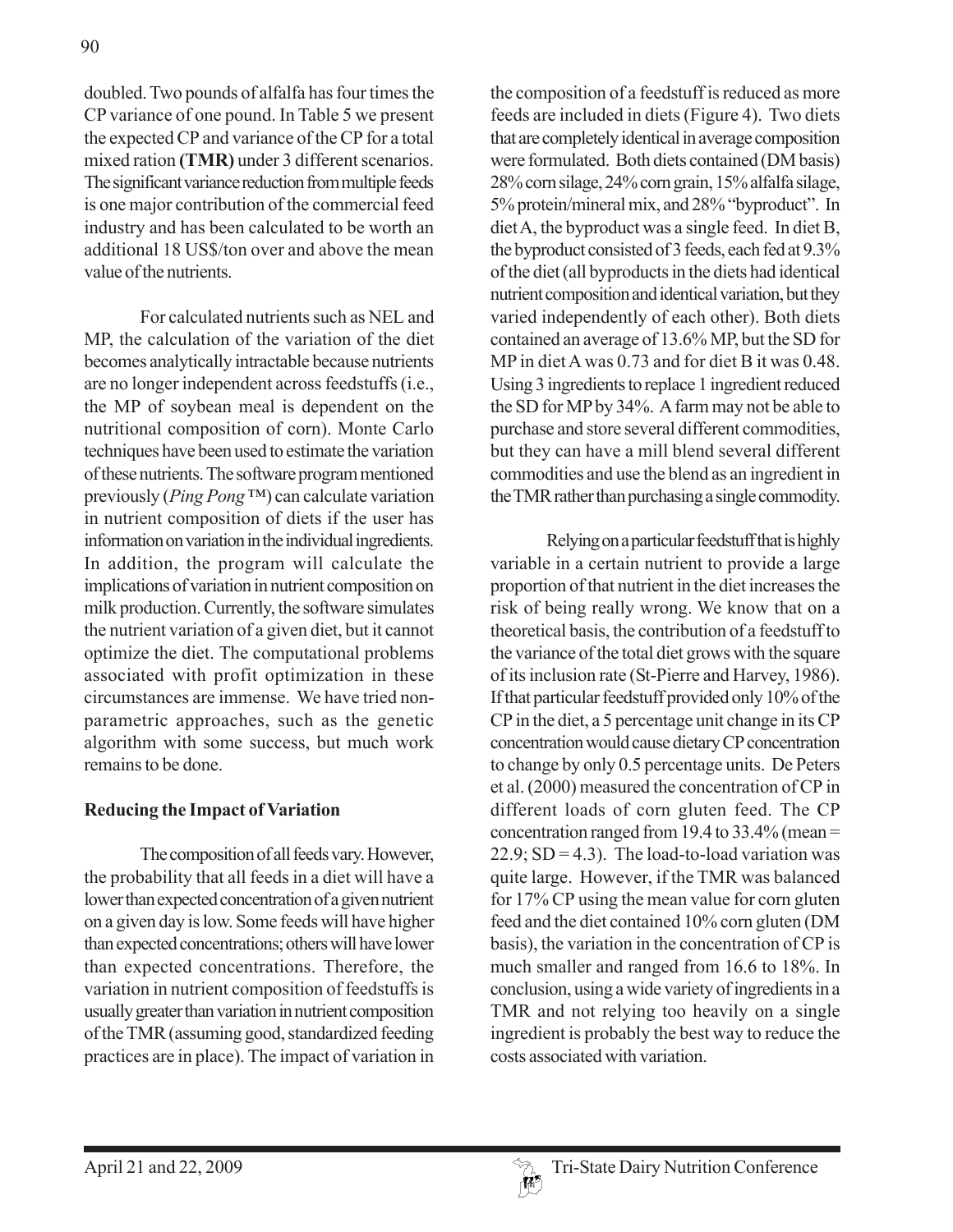doubled. Two pounds of alfalfa has four times the CP variance of one pound. In Table 5 we present the expected CP and variance of the CP for a total mixed ration **(TMR)** under 3 different scenarios. The significant variance reduction from multiple feeds is one major contribution of the commercial feed industry and has been calculated to be worth an additional 18 US\$/ton over and above the mean value of the nutrients.

For calculated nutrients such as NEL and MP, the calculation of the variation of the diet becomes analytically intractable because nutrients are no longer independent across feedstuffs (i.e., the MP of soybean meal is dependent on the nutritional composition of corn). Monte Carlo techniques have been used to estimate the variation of these nutrients. The software program mentioned previously (*Ping Pong* ™) can calculate variation in nutrient composition of diets if the user has information on variation in the individual ingredients. In addition, the program will calculate the implications of variation in nutrient composition on milk production. Currently, the software simulates the nutrient variation of a given diet, but it cannot optimize the diet. The computational problems associated with profit optimization in these circumstances are immense. We have tried nonparametric approaches, such as the genetic algorithm with some success, but much work remains to be done.

### **Reducing the Impact of Variation**

The composition of all feeds vary. However, the probability that all feeds in a diet will have a lower than expected concentration of a given nutrient on a given day is low. Some feeds will have higher than expected concentrations; others will have lower than expected concentrations. Therefore, the variation in nutrient composition of feedstuffs is usually greater than variation in nutrient composition of the TMR (assuming good, standardized feeding practices are in place). The impact of variation in

the composition of a feedstuff is reduced as more feeds are included in diets (Figure 4). Two diets that are completely identical in average composition were formulated. Both diets contained (DM basis) 28% corn silage, 24% corn grain, 15% alfalfa silage, 5% protein/mineral mix, and 28% "byproduct". In diet A, the byproduct was a single feed. In diet B, the byproduct consisted of 3 feeds, each fed at 9.3% of the diet (all byproducts in the diets had identical nutrient composition and identical variation, but they varied independently of each other). Both diets contained an average of 13.6% MP, but the SD for MP in diet A was 0.73 and for diet B it was 0.48. Using 3 ingredients to replace 1 ingredient reduced the SD for MP by 34%. A farm may not be able to purchase and store several different commodities, but they can have a mill blend several different commodities and use the blend as an ingredient in the TMR rather than purchasing a single commodity.

Relying on a particular feedstuff that is highly variable in a certain nutrient to provide a large proportion of that nutrient in the diet increases the risk of being really wrong. We know that on a theoretical basis, the contribution of a feedstuff to the variance of the total diet grows with the square of its inclusion rate (St-Pierre and Harvey, 1986). If that particular feedstuff provided only 10% of the CP in the diet, a 5 percentage unit change in its CP concentration would cause dietary CP concentration to change by only 0.5 percentage units. De Peters et al. (2000) measured the concentration of CP in different loads of corn gluten feed. The CP concentration ranged from 19.4 to 33.4% (mean =  $22.9$ ; SD = 4.3). The load-to-load variation was quite large. However, if the TMR was balanced for 17% CP using the mean value for corn gluten feed and the diet contained 10% corn gluten (DM basis), the variation in the concentration of CP is much smaller and ranged from 16.6 to 18%. In conclusion, using a wide variety of ingredients in a TMR and not relying too heavily on a single ingredient is probably the best way to reduce the costs associated with variation.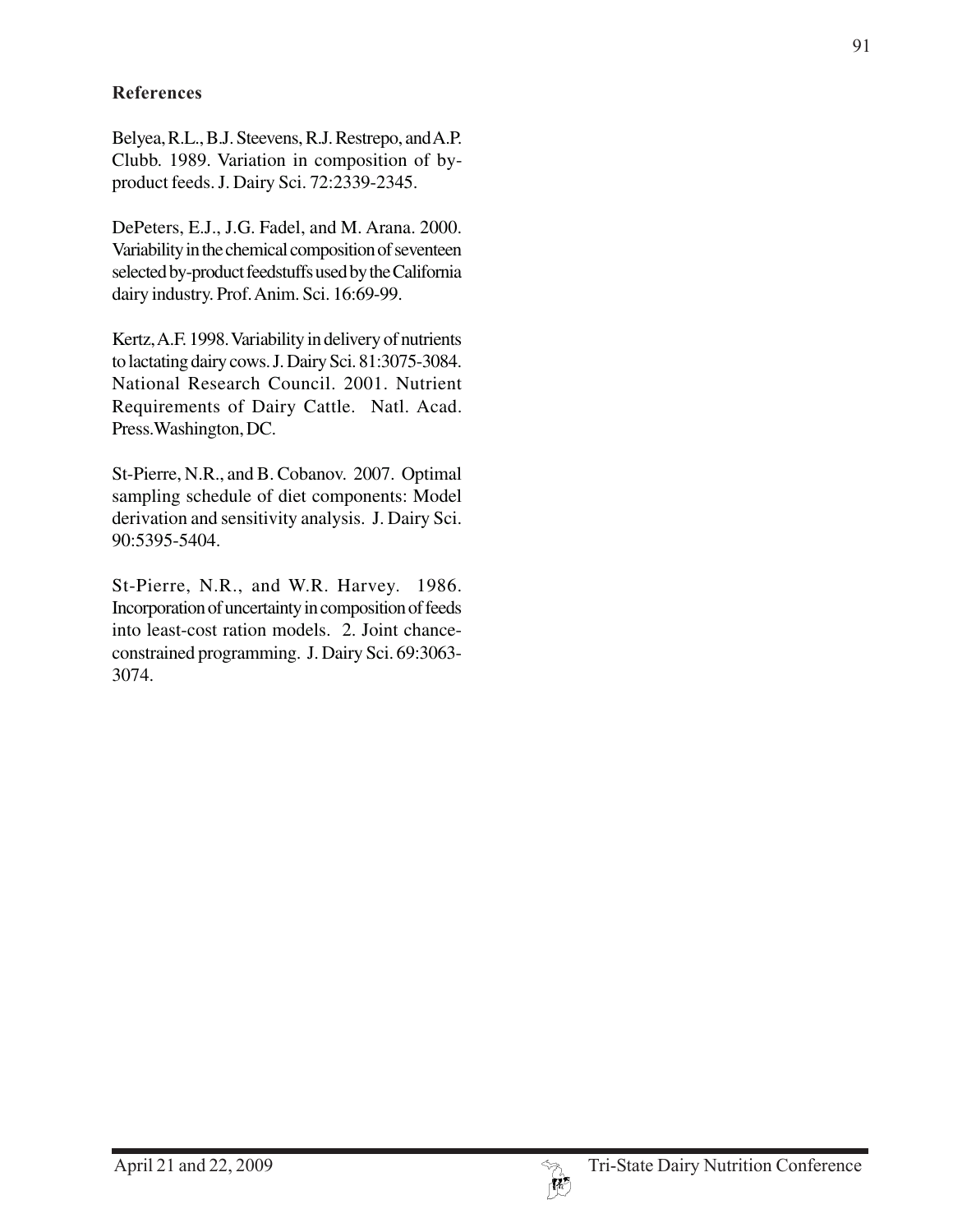## **References**

Belyea, R.L., B.J. Steevens, R.J. Restrepo, and A.P. Clubb. 1989. Variation in composition of byproduct feeds. J. Dairy Sci. 72:2339-2345.

DePeters, E.J., J.G. Fadel, and M. Arana. 2000. Variability in the chemical composition of seventeen selected by-product feedstuffs used by the California dairy industry. Prof. Anim. Sci. 16:69-99.

Kertz, A.F. 1998. Variability in delivery of nutrients to lactating dairy cows. J. Dairy Sci. 81:3075-3084. National Research Council. 2001. Nutrient Requirements of Dairy Cattle. Natl. Acad. Press.Washington, DC.

St-Pierre, N.R., and B. Cobanov. 2007. Optimal sampling schedule of diet components: Model derivation and sensitivity analysis. J. Dairy Sci. 90:5395-5404.

St-Pierre, N.R., and W.R. Harvey. 1986. Incorporation of uncertainty in composition of feeds into least-cost ration models. 2. Joint chanceconstrained programming. J. Dairy Sci. 69:3063- 3074.

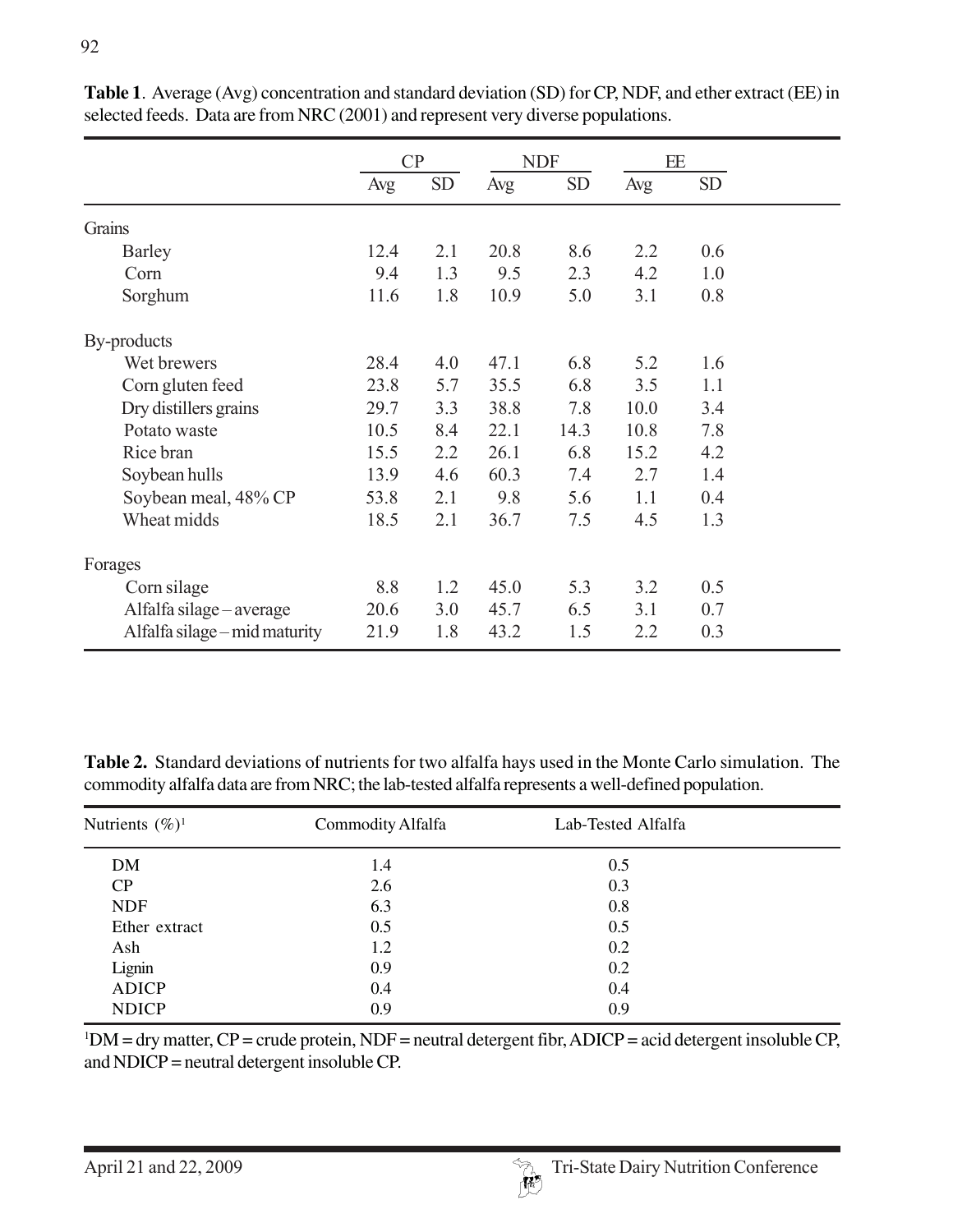|                               | CP   |           | <b>NDF</b> |           | EE   |           |
|-------------------------------|------|-----------|------------|-----------|------|-----------|
|                               | Avg  | <b>SD</b> | Avg        | <b>SD</b> | Avg  | <b>SD</b> |
| Grains                        |      |           |            |           |      |           |
| <b>Barley</b>                 | 12.4 | 2.1       | 20.8       | 8.6       | 2.2  | 0.6       |
| Corn                          | 9.4  | 1.3       | 9.5        | 2.3       | 4.2  | 1.0       |
| Sorghum                       | 11.6 | 1.8       | 10.9       | 5.0       | 3.1  | 0.8       |
| By-products                   |      |           |            |           |      |           |
| Wet brewers                   | 28.4 | 4.0       | 47.1       | 6.8       | 5.2  | 1.6       |
| Corn gluten feed              | 23.8 | 5.7       | 35.5       | 6.8       | 3.5  | 1.1       |
| Dry distillers grains         | 29.7 | 3.3       | 38.8       | 7.8       | 10.0 | 3.4       |
| Potato waste                  | 10.5 | 8.4       | 22.1       | 14.3      | 10.8 | 7.8       |
| Rice bran                     | 15.5 | 2.2       | 26.1       | 6.8       | 15.2 | 4.2       |
| Soybean hulls                 | 13.9 | 4.6       | 60.3       | 7.4       | 2.7  | 1.4       |
| Soybean meal, 48% CP          | 53.8 | 2.1       | 9.8        | 5.6       | 1.1  | 0.4       |
| Wheat midds                   | 18.5 | 2.1       | 36.7       | 7.5       | 4.5  | 1.3       |
| Forages                       |      |           |            |           |      |           |
| Corn silage                   | 8.8  | 1.2       | 45.0       | 5.3       | 3.2  | 0.5       |
| Alfalfa silage – average      | 20.6 | 3.0       | 45.7       | 6.5       | 3.1  | 0.7       |
| Alfalfa silage – mid maturity | 21.9 | 1.8       | 43.2       | 1.5       | 2.2  | 0.3       |

**Table 1**. Average (Avg) concentration and standard deviation (SD) for CP, NDF, and ether extract (EE) in selected feeds. Data are from NRC (2001) and represent very diverse populations.

**Table 2.** Standard deviations of nutrients for two alfalfa hays used in the Monte Carlo simulation. The commodity alfalfa data are from NRC; the lab-tested alfalfa represents a well-defined population.

| Nutrients $(\%)^1$ | Commodity Alfalfa | Lab-Tested Alfalfa |  |
|--------------------|-------------------|--------------------|--|
| <b>DM</b>          | 1.4               | 0.5                |  |
| CP                 | 2.6               | 0.3                |  |
| <b>NDF</b>         | 6.3               | 0.8                |  |
| Ether extract      | 0.5               | 0.5                |  |
| Ash                | 1.2               | 0.2                |  |
| Lignin             | 0.9               | 0.2                |  |
| <b>ADICP</b>       | 0.4               | 0.4                |  |
| <b>NDICP</b>       | 0.9               | 0.9                |  |

 $1DM = dry$  matter,  $CP =$  crude protein, NDF = neutral detergent fibr, ADICP = acid detergent insoluble CP, and NDICP = neutral detergent insoluble CP.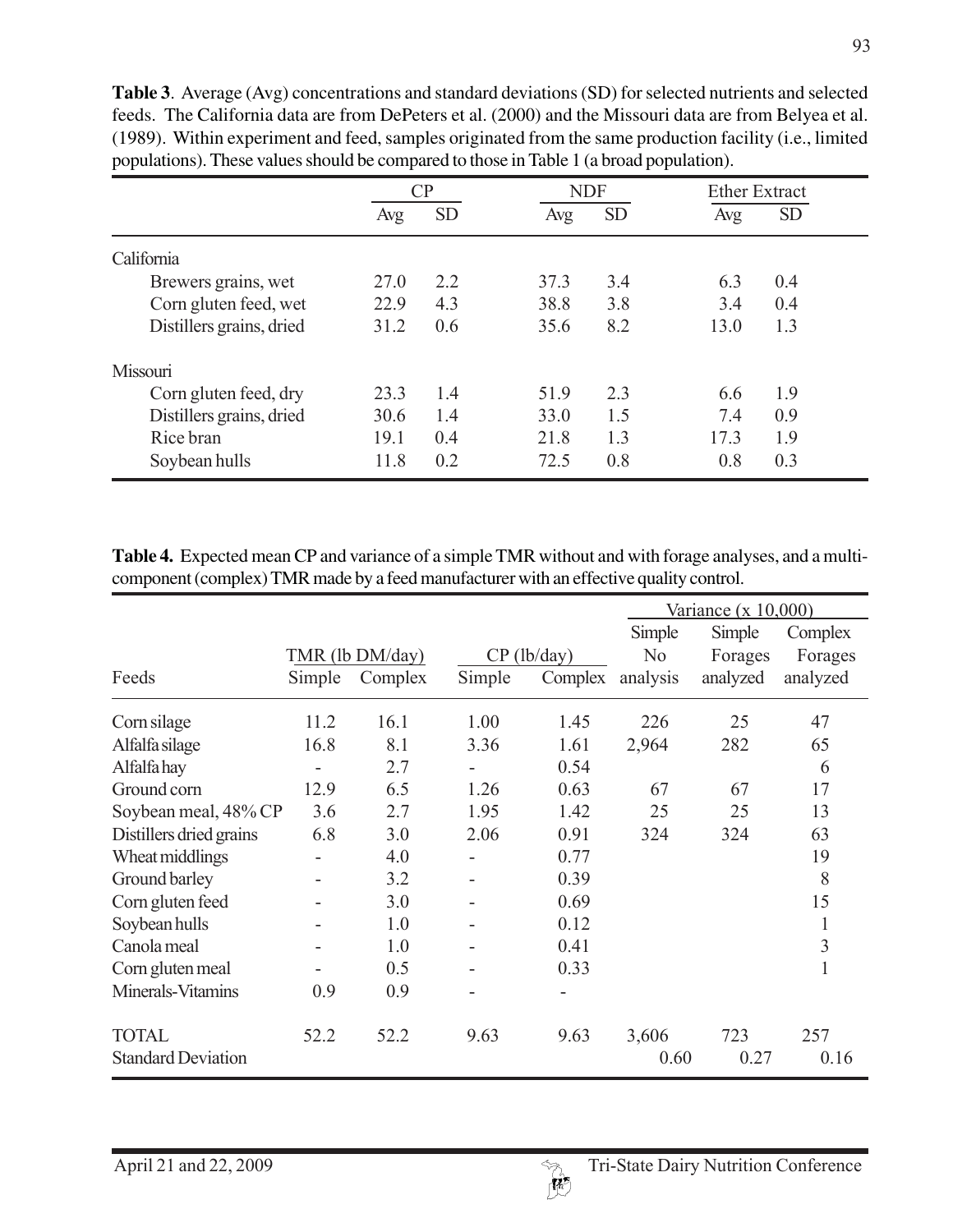|                          | CР   |           | <b>NDF</b> |           | <b>Ether Extract</b> |
|--------------------------|------|-----------|------------|-----------|----------------------|
|                          | Avg  | <b>SD</b> | Avg        | <b>SD</b> | <b>SD</b><br>Avg     |
| California               |      |           |            |           |                      |
| Brewers grains, wet      | 27.0 | 2.2       | 37.3       | 3.4       | 6.3<br>0.4           |
| Corn gluten feed, wet    | 22.9 | 4.3       | 38.8       | 3.8       | 3.4<br>0.4           |
| Distillers grains, dried | 31.2 | 0.6       | 35.6       | 8.2       | 13.0<br>1.3          |
| Missouri                 |      |           |            |           |                      |
| Corn gluten feed, dry    | 23.3 | 1.4       | 51.9       | 2.3       | 1.9<br>6.6           |
| Distillers grains, dried | 30.6 | 1.4       | 33.0       | 1.5       | 7.4<br>0.9           |
| Rice bran                | 19.1 | 0.4       | 21.8       | 1.3       | 17.3<br>1.9          |
| Soybean hulls            | 11.8 | 0.2       | 72.5       | 0.8       | 0.8<br>0.3           |

**Table 3**. Average (Avg) concentrations and standard deviations (SD) for selected nutrients and selected feeds. The California data are from DePeters et al. (2000) and the Missouri data are from Belyea et al. (1989). Within experiment and feed, samples originated from the same production facility (i.e., limited populations). These values should be compared to those in Table 1 (a broad population).

**Table 4.** Expected mean CP and variance of a simple TMR without and with forage analyses, and a multicomponent (complex) TMR made by a feed manufacturer with an effective quality control.

|                           |        |                 |        |               | Variance $(x 10,000)$ |          |              |
|---------------------------|--------|-----------------|--------|---------------|-----------------------|----------|--------------|
|                           |        |                 |        |               | Simple                | Simple   | Complex      |
|                           |        | TMR (lb DM/day) |        | $CP$ (lb/day) | N <sub>0</sub>        | Forages  | Forages      |
| Feeds                     | Simple | Complex         | Simple | Complex       | analysis              | analyzed | analyzed     |
| Corn silage               | 11.2   | 16.1            | 1.00   | 1.45          | 226                   | 25       | 47           |
| Alfalfa silage            | 16.8   | 8.1             | 3.36   | 1.61          | 2,964                 | 282      | 65           |
| Alfalfa hay               | -      | 2.7             |        | 0.54          |                       |          | 6            |
| Ground corn               | 12.9   | 6.5             | 1.26   | 0.63          | 67                    | 67       | 17           |
| Soybean meal, 48% CP      | 3.6    | 2.7             | 1.95   | 1.42          | 25                    | 25       | 13           |
| Distillers dried grains   | 6.8    | 3.0             | 2.06   | 0.91          | 324                   | 324      | 63           |
| Wheat middlings           | ۰      | 4.0             |        | 0.77          |                       |          | 19           |
| Ground barley             |        | 3.2             |        | 0.39          |                       |          | 8            |
| Corn gluten feed          |        | 3.0             |        | 0.69          |                       |          | 15           |
| Soybean hulls             |        | 1.0             |        | 0.12          |                       |          | $\mathbf{1}$ |
| Canola meal               |        | 1.0             |        | 0.41          |                       |          | 3            |
| Corn gluten meal          |        | 0.5             |        | 0.33          |                       |          | $\mathbf{1}$ |
| Minerals-Vitamins         | 0.9    | 0.9             |        |               |                       |          |              |
| <b>TOTAL</b>              | 52.2   | 52.2            | 9.63   | 9.63          | 3,606                 | 723      | 257          |
| <b>Standard Deviation</b> |        |                 |        |               | 0.60                  | 0.27     | 0.16         |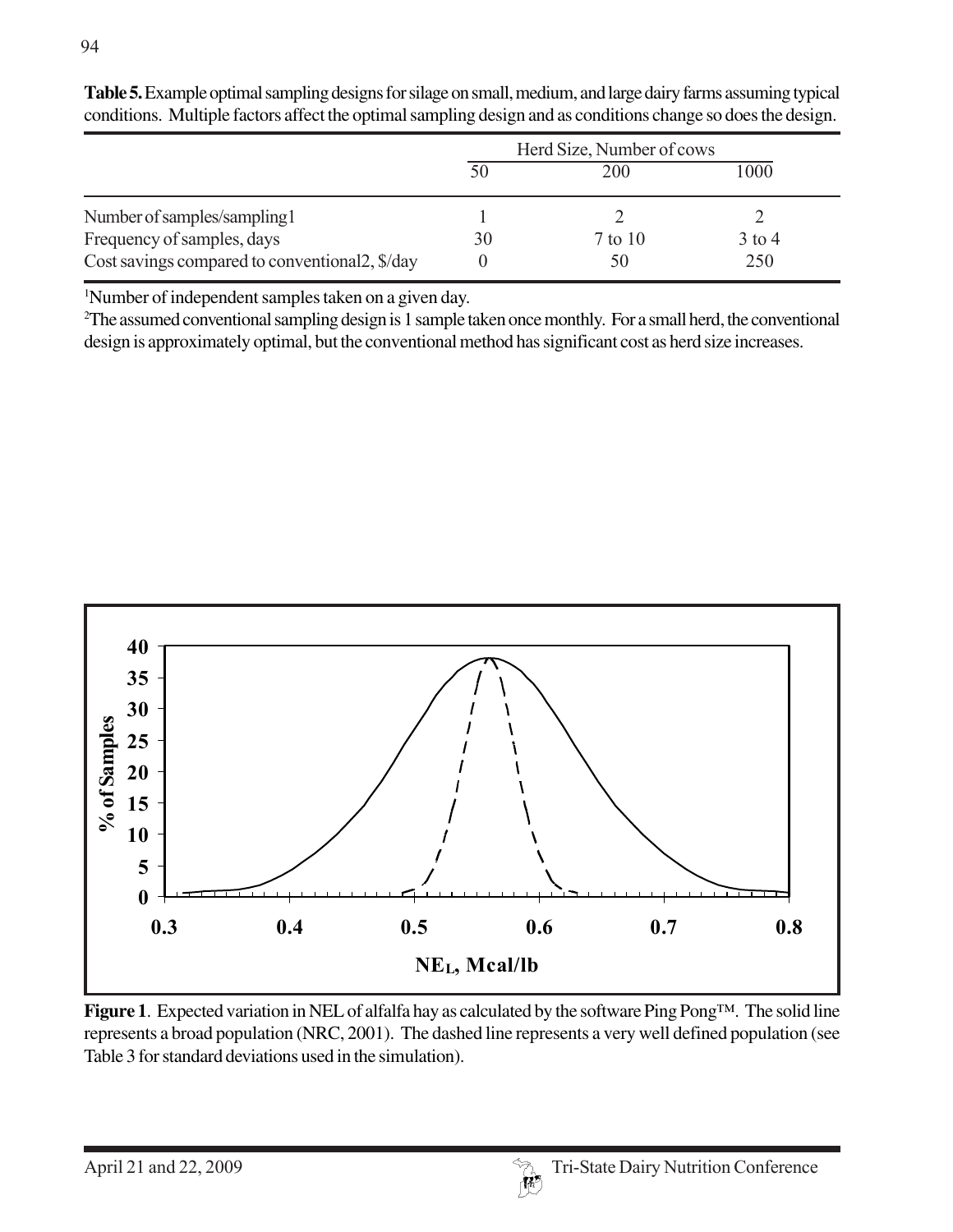|                                                 | Herd Size, Number of cows |         |          |  |
|-------------------------------------------------|---------------------------|---------|----------|--|
|                                                 |                           | 200     | 1000     |  |
| Number of samples/sampling1                     |                           |         |          |  |
| Frequency of samples, days                      | 30                        | 7 to 10 | $3$ to 4 |  |
| Cost savings compared to conventional 2, \$/day |                           | 50      | 250      |  |

**Table 5.** Example optimal sampling designs for silage on small, medium, and large dairy farms assuming typical conditions. Multiple factors affect the optimal sampling design and as conditions change so does the design.

1 Number of independent samples taken on a given day.

2 The assumed conventional sampling design is 1 sample taken once monthly. For a small herd, the conventional design is approximately optimal, but the conventional method has significant cost as herd size increases.



**Figure 1**. Expected variation in NEL of alfalfa hay as calculated by the software Ping Pong™. The solid line represents a broad population (NRC, 2001). The dashed line represents a very well defined population (see Table 3 for standard deviations used in the simulation).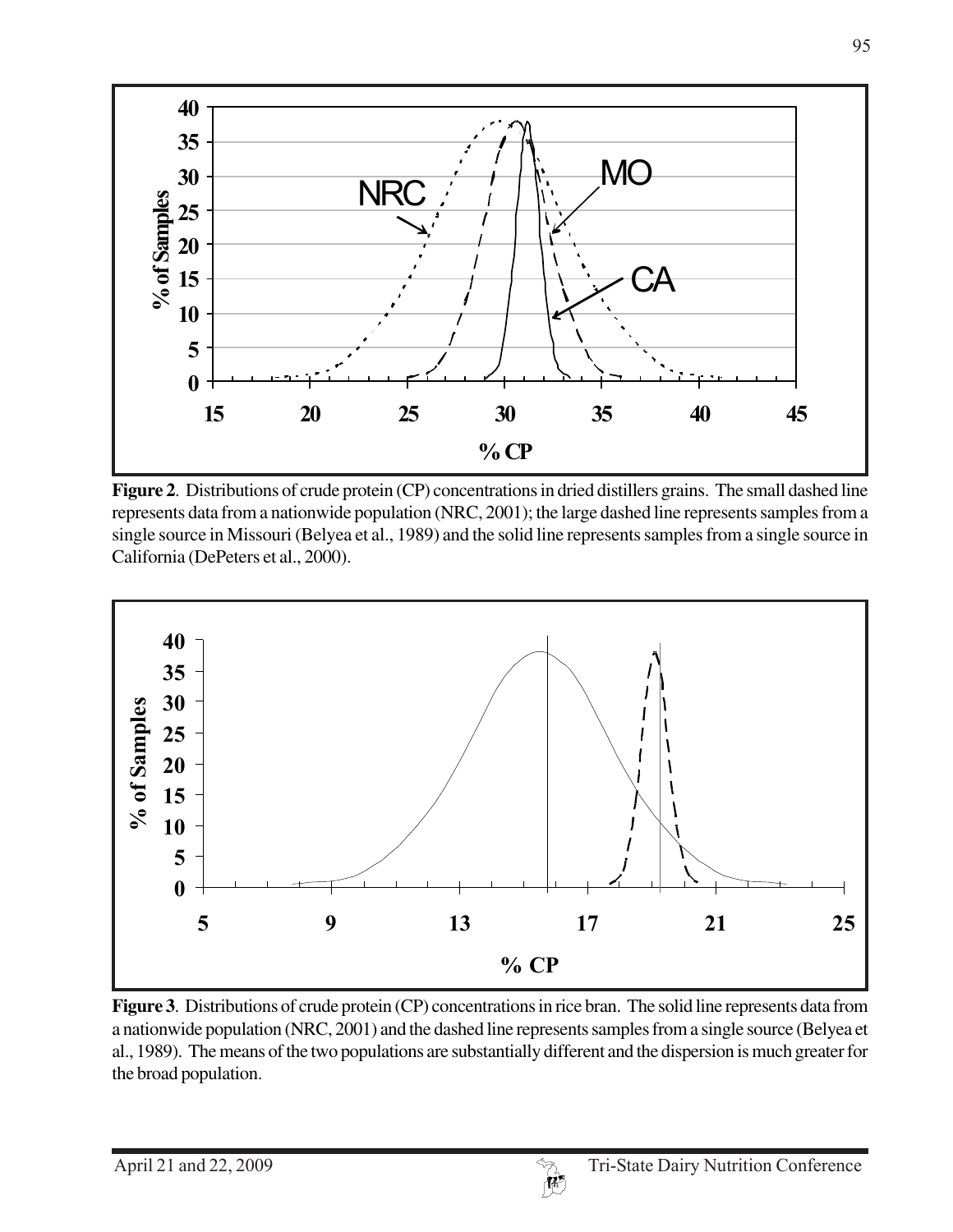

**Figure 2**. Distributions of crude protein (CP) concentrations in dried distillers grains. The small dashed line represents data from a nationwide population (NRC, 2001); the large dashed line represents samples from a single source in Missouri (Belyea et al., 1989) and the solid line represents samples from a single source in California (DePeters et al., 2000).



**Figure 3**.Distributions of crude protein (CP) concentrations in rice bran. The solid line represents data from a nationwide population (NRC, 2001) and the dashed line represents samples from a single source (Belyea et al., 1989). The means of the two populations are substantially different and the dispersion is much greater for the broad population.